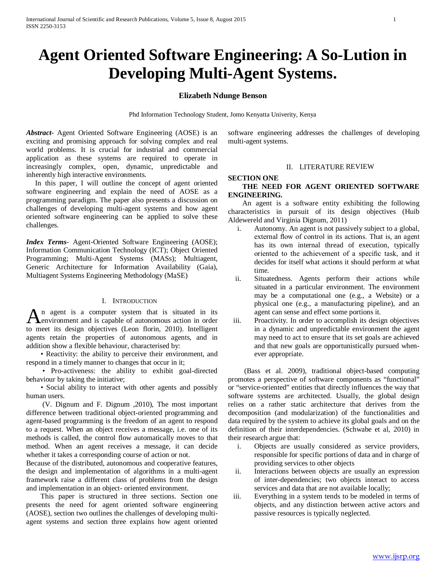# **Agent Oriented Software Engineering: A So-Lution in Developing Multi-Agent Systems.**

## **Elizabeth Ndunge Benson**

Phd Information Technology Student, Jomo Kenyatta Univerity, Kenya

*Abstract***-** Agent Oriented Software Engineering (AOSE) is an exciting and promising approach for solving complex and real world problems. It is crucial for industrial and commercial application as these systems are required to operate in increasingly complex, open, dynamic, unpredictable and inherently high interactive environments.

 In this paper, I will outline the concept of agent oriented software engineering and explain the need of AOSE as a programming paradigm. The paper also presents a discussion on challenges of developing multi-agent systems and how agent oriented software engineering can be applied to solve these challenges.

*Index Terms*- Agent-Oriented Software Engineering (AOSE); Information Communication Technology (ICT); Object Oriented Programming; Multi-Agent Systems (MASs); Multiagent, Generic Architecture for Information Availability (Gaia), Multiagent Systems Engineering Methodology (MaSE)

## I. INTRODUCTION

n agent is a computer system that is situated in its  $\mathbf{A}$  and a sensual and is capable of autonomous action in order  $\mathbf{A}$ to meet its design objectives (Leon florin, 2010). Intelligent agents retain the properties of autonomous agents, and in addition show a flexible behaviour, characterised by:

 • Reactivity: the ability to perceive their environment, and respond in a timely manner to changes that occur in it;

 • Pro-activeness: the ability to exhibit goal-directed behaviour by taking the initiative;

 • Social ability to interact with other agents and possibly human users.

 (V. Dignum and F. Dignum ,2010), The most important difference between traditional object-oriented programming and agent-based programming is the freedom of an agent to respond to a request. When an object receives a message, i.e. one of its methods is called, the control flow automatically moves to that method. When an agent receives a message, it can decide whether it takes a corresponding course of action or not.

Because of the distributed, autonomous and cooperative features, the design and implementation of algorithms in a multi-agent framework raise a different class of problems from the design and implementation in an object- oriented environment.

 This paper is structured in three sections. Section one presents the need for agent oriented software engineering (AOSE), section two outlines the challenges of developing multiagent systems and section three explains how agent oriented software engineering addresses the challenges of developing multi-agent systems.

#### II. LITERATURE REVIEW

#### **SECTION ONE**

# **THE NEED FOR AGENT ORIENTED SOFTWARE ENGINEERING.**

 An agent is a software entity exhibiting the following characteristics in pursuit of its design objectives (Huib Aldewereld and Virginia Dignum, 2011)

- i. Autonomy. An agent is not passively subject to a global, external flow of control in its actions. That is, an agent has its own internal thread of execution, typically oriented to the achievement of a specific task, and it decides for itself what actions it should perform at what time.
- ii. Situatedness. Agents perform their actions while situated in a particular environment. The environment may be a computational one (e.g., a Website) or a physical one (e.g., a manufacturing pipeline), and an agent can sense and effect some portions it.
- iii. Proactivity. In order to accomplish its design objectives in a dynamic and unpredictable environment the agent may need to act to ensure that its set goals are achieved and that new goals are opportunistically pursued whenever appropriate.

 (Bass et al. 2009), traditional object-based computing promotes a perspective of software components as "functional" or "service-oriented" entities that directly influences the way that software systems are architected. Usually, the global design relies on a rather static architecture that derives from the decomposition (and modularization) of the functionalities and data required by the system to achieve its global goals and on the definition of their interdependencies. (Schwabe et al, 2010) in their research argue that:

- i. Objects are usually considered as service providers, responsible for specific portions of data and in charge of providing services to other objects
- ii. Interactions between objects are usually an expression of inter-dependencies; two objects interact to access services and data that are not available locally;
- iii. Everything in a system tends to be modeled in terms of objects, and any distinction between active actors and passive resources is typically neglected.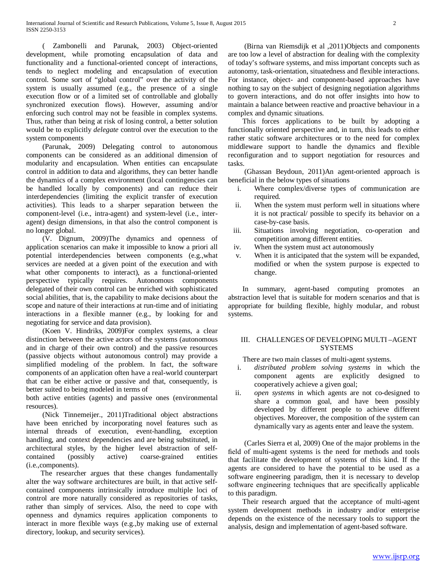( Zambonelli and Parunak, 2003) Object-oriented development, while promoting encapsulation of data and functionality and a functional-oriented concept of interactions, tends to neglect modeling and encapsulation of execution control. Some sort of "global control" over the activity of the system is usually assumed (e.g., the presence of a single execution flow or of a limited set of controllable and globally synchronized execution flows). However, assuming and/or enforcing such control may not be feasible in complex systems. Thus, rather than being at risk of losing control, a better solution would be to explicitly *delegate* control over the execution to the system components

 (Parunak, 2009) Delegating control to autonomous components can be considered as an additional dimension of modularity and encapsulation. When entities can encapsulate control in addition to data and algorithms, they can better handle the dynamics of a complex environment (local contingencies can be handled locally by components) and can reduce their interdependencies (limiting the explicit transfer of execution activities). This leads to a sharper separation between the component-level (i.e., intra-agent) and system-level (i.e., interagent) design dimensions, in that also the control component is no longer global.

 (V. Dignum, 2009)The dynamics and openness of application scenarios can make it impossible to know a priori all potential interdependencies between components (e.g.,what services are needed at a given point of the execution and with what other components to interact), as a functional-oriented perspective typically requires. Autonomous components delegated of their own control can be enriched with sophisticated social abilities, that is, the capability to make decisions about the scope and nature of their interactions at run-time and of initiating interactions in a flexible manner (e.g., by looking for and negotiating for service and data provision).

 (Koen V. Hindriks, 2009)For complex systems, a clear distinction between the active actors of the systems (autonomous and in charge of their own control) and the passive resources (passive objects without autonomous control) may provide a simplified modeling of the problem. In fact, the software components of an application often have a real-world counterpart that can be either active or passive and that, consequently, is better suited to being modeled in terms of

both active entities (agents) and passive ones (environmental resources).

 (Nick Tinnemeijer., 2011)Traditional object abstractions have been enriched by incorporating novel features such as internal threads of execution, event-handling, exception handling, and context dependencies and are being substituted, in architectural styles, by the higher level abstraction of selfcontained (possibly active) coarse-grained entities (i.e.,components).

 The researcher argues that these changes fundamentally alter the way software architectures are built, in that active selfcontained components intrinsically introduce multiple loci of control are more naturally considered as repositories of tasks, rather than simply of services. Also, the need to cope with openness and dynamics requires application components to interact in more flexible ways (e.g.,by making use of external directory, lookup, and security services).

 (Birna van Riemsdijk et al ,2011)Objects and components are too low a level of abstraction for dealing with the complexity of today's software systems, and miss important concepts such as autonomy, task-orientation, situatedness and flexible interactions. For instance, object- and component-based approaches have nothing to say on the subject of designing negotiation algorithms to govern interactions, and do not offer insights into how to maintain a balance between reactive and proactive behaviour in a complex and dynamic situations.

 This forces applications to be built by adopting a functionally oriented perspective and, in turn, this leads to either rather static software architectures or to the need for complex middleware support to handle the dynamics and flexible reconfiguration and to support negotiation for resources and tasks.

 (Ghassan Beydoun, 2011)An agent-oriented approach is beneficial in the below types of situations

- i. Where complex/diverse types of communication are required.
- ii. When the system must perform well in situations where it is not practical/ possible to specify its behavior on a case-by-case basis.
- iii. Situations involving negotiation, co-operation and competition among different entities.
- iv. When the system must act autonomously
- v. When it is anticipated that the system will be expanded, modified or when the system purpose is expected to change.

 In summary, agent-based computing promotes an abstraction level that is suitable for modern scenarios and that is appropriate for building flexible, highly modular, and robust systems.

## III. CHALLENGES OF DEVELOPING MULTI –AGENT **SYSTEMS**

There are two main classes of multi-agent systems.

- i. *distributed problem solving systems* in which the component agents are explicitly designed to cooperatively achieve a given goal;
- ii. *open systems* in which agents are not co-designed to share a common goal, and have been possibly developed by different people to achieve different objectives. Moreover, the composition of the system can dynamically vary as agents enter and leave the system.

 (Carles Sierra et al, 2009) One of the major problems in the field of multi-agent systems is the need for methods and tools that facilitate the development of systems of this kind. If the agents are considered to have the potential to be used as a software engineering paradigm, then it is necessary to develop software engineering techniques that are specifically applicable to this paradigm.

 Their research argued that the acceptance of multi-agent system development methods in industry and/or enterprise depends on the existence of the necessary tools to support the analysis, design and implementation of agent-based software.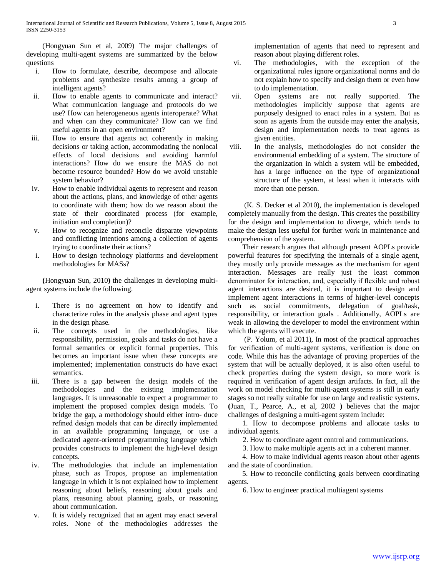(Hongyuan Sun et al, 2009) The major challenges of developing multi-agent systems are summarized by the below questions

- i. How to formulate, describe, decompose and allocate problems and synthesize results among a group of intelligent agents?
- ii. How to enable agents to communicate and interact? What communication language and protocols do we use? How can heterogeneous agents interoperate? What and when can they communicate? How can we find useful agents in an open environment?
- iii. How to ensure that agents act coherently in making decisions or taking action, accommodating the nonlocal effects of local decisions and avoiding harmful interactions? How do we ensure the MAS do not become resource bounded? How do we avoid unstable system behavior?
- iv. How to enable individual agents to represent and reason about the actions, plans, and knowledge of other agents to coordinate with them; how do we reason about the state of their coordinated process (for example, initiation and completion)?
- v. How to recognize and reconcile disparate viewpoints and conflicting intentions among a collection of agents trying to coordinate their actions?
- i. How to design technology platforms and development methodologies for MASs?

 **(**Hongyuan Sun, 2010**)** the challenges in developing multiagent systems include the following.

- i. There is no agreement on how to identify and characterize roles in the analysis phase and agent types in the design phase.
- ii. The concepts used in the methodologies, like responsibility, permission, goals and tasks do not have a formal semantics or explicit formal properties. This becomes an important issue when these concepts are implemented; implementation constructs do have exact semantics.
- iii. There is a gap between the design models of the methodologies and the existing implementation languages. It is unreasonable to expect a programmer to implement the proposed complex design models. To bridge the gap, a methodology should either intro- duce refined design models that can be directly implemented in an available programming language, or use a dedicated agent-oriented programming language which provides constructs to implement the high-level design concepts.
- iv. The methodologies that include an implementation phase, such as Tropos, propose an implementation language in which it is not explained how to implement reasoning about beliefs, reasoning about goals and plans, reasoning about planning goals, or reasoning about communication.
- v. It is widely recognized that an agent may enact several roles. None of the methodologies addresses the

implementation of agents that need to represent and reason about playing different roles.

- vi. The methodologies, with the exception of the organizational rules ignore organizational norms and do not explain how to specify and design them or even how to do implementation.
- vii. Open systems are not really supported. The methodologies implicitly suppose that agents are purposely designed to enact roles in a system. But as soon as agents from the outside may enter the analysis, design and implementation needs to treat agents as given entities.
- viii. In the analysis, methodologies do not consider the environmental embedding of a system. The structure of the organization in which a system will be embedded, has a large influence on the type of organizational structure of the system, at least when it interacts with more than one person.

 (K. S. Decker et al 2010), the implementation is developed completely manually from the design. This creates the possibility for the design and implementation to diverge, which tends to make the design less useful for further work in maintenance and comprehension of the system.

 Their research argues that although present AOPLs provide powerful features for specifying the internals of a single agent, they mostly only provide messages as the mechanism for agent interaction. Messages are really just the least common denominator for interaction, and, especially if flexible and robust agent interactions are desired, it is important to design and implement agent interactions in terms of higher-level concepts such as social commitments, delegation of goal/task, responsibility, or interaction goals . Additionally, AOPLs are weak in allowing the developer to model the environment within which the agents will execute.

 (P. Yolum, et al 2011), In most of the practical approaches for verification of multi-agent systems, verification is done on code. While this has the advantage of proving properties of the system that will be actually deployed, it is also often useful to check properties during the system design, so more work is required in verification of agent design artifacts. In fact, all the work on model checking for multi-agent systems is still in early stages so not really suitable for use on large and realistic systems. **(**Juan, T., Pearce, A., et al, 2002 **)** believes that the major challenges of designing a multi-agent system include:

 1. How to decompose problems and allocate tasks to individual agents.

2. How to coordinate agent control and communications.

3. How to make multiple agents act in a coherent manner.

 4. How to make individual agents reason about other agents and the state of coordination.

 5. How to reconcile conflicting goals between coordinating agents.

6. How to engineer practical multiagent systems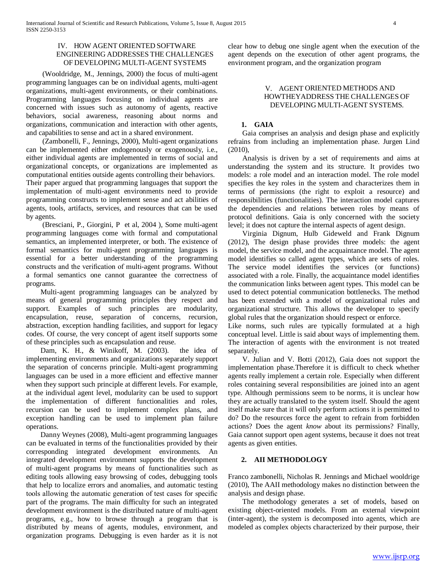## IV. HOW AGENT ORIENTED SOFTWARE ENGINEERING ADDRESSES THE CHALLENGES OF DEVELOPING MULTI-AGENT SYSTEMS

 (Wooldridge, M., Jennings, 2000) the focus of multi-agent programming languages can be on individual agents, multi-agent organizations, multi-agent environments, or their combinations. Programming languages focusing on individual agents are concerned with issues such as autonomy of agents, reactive behaviors, social awareness, reasoning about norms and organizations, communication and interaction with other agents, and capabilities to sense and act in a shared environment.

 (Zambonelli, F., Jennings, 2000), Multi-agent organizations can be implemented either endogenously or exogenously, i.e., either individual agents are implemented in terms of social and organizational concepts, or organizations are implemented as computational entities outside agents controlling their behaviors. Their paper argued that programming languages that support the implementation of multi-agent environments need to provide programming constructs to implement sense and act abilities of agents, tools, artifacts, services, and resources that can be used by agents.

 (Bresciani, P., Giorgini, P et al, 2004 ), Some multi-agent programming languages come with formal and computational semantics, an implemented interpreter, or both. The existence of formal semantics for multi-agent programming languages is essential for a better understanding of the programming constructs and the verification of multi-agent programs. Without a formal semantics one cannot guarantee the correctness of programs.

 Multi-agent programming languages can be analyzed by means of general programming principles they respect and support. Examples of such principles are modularity, encapsulation, reuse, separation of concerns, recursion, abstraction, exception handling facilities, and support for legacy codes. Of course, the very concept of agent itself supports some of these principles such as encapsulation and reuse.

 Dam, K. H., & Winikoff, M. (2003). the idea of implementing environments and organizations separately support the separation of concerns principle. Multi-agent programming languages can be used in a more efficient and effective manner when they support such principle at different levels. For example, at the individual agent level, modularity can be used to support the implementation of different functionalities and roles, recursion can be used to implement complex plans, and exception handling can be used to implement plan failure operations.

 Danny Weynes (2008), Multi-agent programming languages can be evaluated in terms of the functionalities provided by their corresponding integrated development environments. An integrated development environment supports the development of multi-agent programs by means of functionalities such as editing tools allowing easy browsing of codes, debugging tools that help to localize errors and anomalies, and automatic testing tools allowing the automatic generation of test cases for specific part of the programs. The main difficulty for such an integrated development environment is the distributed nature of multi-agent programs, e.g., how to browse through a program that is distributed by means of agents, modules, environment, and organization programs. Debugging is even harder as it is not clear how to debug one single agent when the execution of the agent depends on the execution of other agent programs, the environment program, and the organization program

## V. AGENT ORIENTED METHODS AND HOWTHEYADDRESS THE CHALLENGES OF DEVELOPING MULTI-AGENT SYSTEMS.

## **1. GAIA**

 Gaia comprises an analysis and design phase and explicitly refrains from including an implementation phase. Jurgen Lind (2010),

 Analysis is driven by a set of requirements and aims at understanding the system and its structure. It provides two models: a role model and an interaction model. The role model specifies the key roles in the system and characterizes them in terms of permissions (the right to exploit a resource) and responsibilities (functionalities). The interaction model captures the dependencies and relations between roles by means of protocol definitions. Gaia is only concerned with the society level; it does not capture the internal aspects of agent design.

 Virginia Dignum, Hulb Gideweld and Frank Dignum (2012), The design phase provides three models: the agent model, the service model, and the acquaintance model. The agent model identifies so called agent types, which are sets of roles. The service model identifies the services (or functions) associated with a role. Finally, the acquaintance model identifies the communication links between agent types. This model can be used to detect potential communication bottlenecks. The method has been extended with a model of organizational rules and organizational structure. This allows the developer to specify global rules that the organization should respect or enforce.

Like norms, such rules are typically formulated at a high conceptual level. Little is said about ways of implementing them. The interaction of agents with the environment is not treated separately.

 V. Julian and V. Botti (2012), Gaia does not support the implementation phase.Therefore it is difficult to check whether agents really implement a certain role. Especially when different roles containing several responsibilities are joined into an agent type. Although permissions seem to be norms, it is unclear how they are actually translated to the system itself. Should the agent itself make sure that it will only perform actions it is permitted to do? Do the resources force the agent to refrain from forbidden actions? Does the agent *know* about its permissions? Finally, Gaia cannot support open agent systems, because it does not treat agents as given entities.

## **2. AII METHODOLOGY**

Franco zambonelli, Nicholas R. Jennings and Michael wooldrige (2010), The AAII methodology makes no distinction between the analysis and design phase.

 The methodology generates a set of models, based on existing object-oriented models. From an external viewpoint (inter-agent), the system is decomposed into agents, which are modeled as complex objects characterized by their purpose, their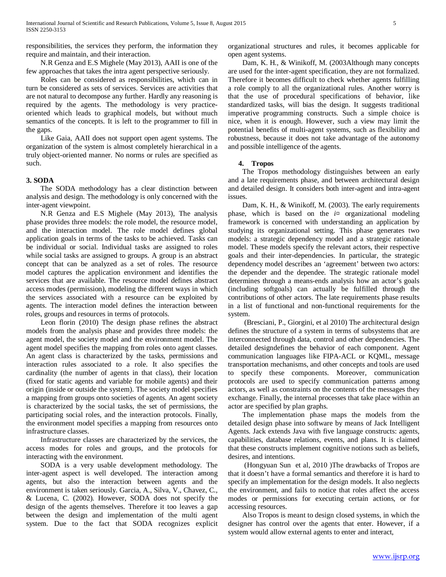responsibilities, the services they perform, the information they require and maintain, and their interaction.

 N.R Genza and E.S Mighele (May 2013), AAII is one of the few approaches that takes the intra agent perspective seriously.

 Roles can be considered as responsibilities, which can in turn be considered as sets of services. Services are activities that are not natural to decompose any further. Hardly any reasoning is required by the agents. The methodology is very practiceoriented which leads to graphical models, but without much semantics of the concepts. It is left to the programmer to fill in the gaps.

 Like Gaia, AAII does not support open agent systems. The organization of the system is almost completely hierarchical in a truly object-oriented manner. No norms or rules are specified as such.

#### **3. SODA**

 The SODA methodology has a clear distinction between analysis and design. The methodology is only concerned with the inter-agent viewpoint.

 N.R Genza and E.S Mighele (May 2013), The analysis phase provides three models: the role model, the resource model, and the interaction model. The role model defines global application goals in terms of the tasks to be achieved. Tasks can be individual or social. Individual tasks are assigned to roles while social tasks are assigned to groups. A group is an abstract concept that can be analyzed as a set of roles. The resource model captures the application environment and identifies the services that are available. The resource model defines abstract access modes (permission), modeling the different ways in which the services associated with a resource can be exploited by agents. The interaction model defines the interaction between roles, groups and resources in terms of protocols.

 Leon florin (2010) The design phase refines the abstract models from the analysis phase and provides three models: the agent model, the society model and the environment model. The agent model specifies the mapping from roles onto agent classes. An agent class is characterized by the tasks, permissions and interaction rules associated to a role. It also specifies the cardinality (the number of agents in that class), their location (fixed for static agents and variable for mobile agents) and their origin (inside or outside the system). The society model specifies a mapping from groups onto societies of agents. An agent society is characterized by the social tasks, the set of permissions, the participating social roles, and the interaction protocols. Finally, the environment model specifies a mapping from resources onto infrastructure classes.

 Infrastructure classes are characterized by the services, the access modes for roles and groups, and the protocols for interacting with the environment.

 SODA is a very usable development methodology. The inter-agent aspect is well developed. The interaction among agents, but also the interaction between agents and the environment is taken seriously. Garcia, A., Silva, V., Chavez, C., & Lucena, C. (2002). However, SODA does not specify the design of the agents themselves. Therefore it too leaves a gap between the design and implementation of the multi agent system. Due to the fact that SODA recognizes explicit organizational structures and rules, it becomes applicable for open agent systems.

 Dam, K. H., & Winikoff, M. (2003Although many concepts are used for the inter-agent specification, they are not formalized. Therefore it becomes difficult to check whether agents fulfilling a role comply to all the organizational rules. Another worry is that the use of procedural specifications of behavior, like standardized tasks, will bias the design. It suggests traditional imperative programming constructs. Such a simple choice is nice, when it is enough. However, such a view may limit the potential benefits of multi-agent systems, such as flexibility and robustness, because it does not take advantage of the autonomy and possible intelligence of the agents.

#### **4. Tropos**

 The Tropos methodology distinguishes between an early and a late requirements phase, and between architectural design and detailed design. It considers both inter-agent and intra-agent issues.

 Dam, K. H., & Winikoff, M. (2003). The early requirements phase, which is based on the *i¤* organizational modeling framework is concerned with understanding an application by studying its organizational setting. This phase generates two models: a strategic dependency model and a strategic rationale model. These models specify the relevant actors, their respective goals and their inter-dependencies. In particular, the strategic dependency model describes an 'agreement' between two actors: the depender and the dependee. The strategic rationale model determines through a means-ends analysis how an actor's goals (including softgoals) can actually be fulfilled through the contributions of other actors. The late requirements phase results in a list of functional and non-functional requirements for the system.

 (Bresciani, P., Giorgini, et al 2010) The architectural design defines the structure of a system in terms of subsystems that are interconnected through data, control and other dependencies. The detailed designdefines the behavior of each component. Agent communication languages like FIPA-ACL or KQML, message transportation mechanisms, and other concepts and tools are used to specify these components. Moreover, communication protocols are used to specify communication patterns among actors, as well as constraints on the contents of the messages they exchange. Finally, the internal processes that take place within an actor are specified by plan graphs.

 The implementation phase maps the models from the detailed design phase into software by means of Jack Intelligent Agents. Jack extends Java with five language constructs: agents, capabilities, database relations, events, and plans. It is claimed that these constructs implement cognitive notions such as beliefs, desires, and intentions.

 (Hongyuan Sun et al, 2010 )The drawbacks of Tropos are that it doesn't have a formal semantics and therefore it is hard to specify an implementation for the design models. It also neglects the environment, and fails to notice that roles affect the access modes or permissions for executing certain actions, or for accessing resources.

 Also Tropos is meant to design closed systems, in which the designer has control over the agents that enter. However, if a system would allow external agents to enter and interact,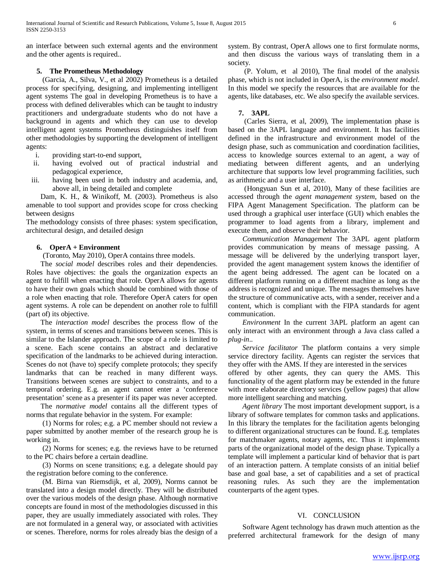an interface between such external agents and the environment and the other agents is required..

## **5. The Prometheus Methodology**

 (Garcia, A., Silva, V., et al 2002) Prometheus is a detailed process for specifying, designing, and implementing intelligent agent systems The goal in developing Prometheus is to have a process with defined deliverables which can be taught to industry practitioners and undergraduate students who do not have a background in agents and which they can use to develop intelligent agent systems Prometheus distinguishes itself from other methodologies by supporting the development of intelligent agents:

- i. providing start-to-end support,
- ii. having evolved out of practical industrial and pedagogical experience,
- iii. having been used in both industry and academia, and, above all, in being detailed and complete

 Dam, K. H., & Winikoff, M. (2003). Prometheus is also amenable to tool support and provides scope for cross checking between designs

The methodology consists of three phases: system specification, architectural design, and detailed design

#### **6. OperA + Environment**

(Toronto, May 2010), OperA contains three models.

 The *social model* describes roles and their dependencies. Roles have objectives: the goals the organization expects an agent to fulfill when enacting that role. OperA allows for agents to have their own goals which should be combined with those of a role when enacting that role. Therefore OperA caters for open agent systems. A role can be dependent on another role to fulfill (part of) its objective.

 The *interaction model* describes the process flow of the system, in terms of scenes and transitions between scenes. This is similar to the Islander approach. The scope of a role is limited to a scene. Each scene contains an abstract and declarative specification of the landmarks to be achieved during interaction. Scenes do not (have to) specify complete protocols; they specify landmarks that can be reached in many different ways. Transitions between scenes are subject to constraints, and to a temporal ordering. E.g. an agent cannot enter a 'conference presentation' scene as a presenter if its paper was never accepted.

 The *normative model* contains all the different types of norms that regulate behavior in the system. For example:

 (1) Norms for roles; e.g. a PC member should not review a paper submitted by another member of the research group he is working in.

 (2) Norms for scenes; e.g. the reviews have to be returned to the PC chairs before a certain deadline.

 (3) Norms on scene transitions; e.g. a delegate should pay the registration before coming to the conference.

 (M. Birna van Riemsdijk, et al, 2009), Norms cannot be translated into a design model directly. They will be distributed over the various models of the design phase. Although normative concepts are found in most of the methodologies discussed in this paper, they are usually immediately associated with roles. They are not formulated in a general way, or associated with activities or scenes. Therefore, norms for roles already bias the design of a system. By contrast, OperA allows one to first formulate norms, and then discuss the various ways of translating them in a society.

 (P. Yolum, et al 2010), The final model of the analysis phase, which is not included in OperA, is the *environment model*. In this model we specify the resources that are available for the agents, like databases, etc. We also specify the available services.

#### **7. 3APL**

 (Carles Sierra, et al, 2009), The implementation phase is based on the 3APL language and environment. It has facilities defined in the infrastructure and environment model of the design phase, such as communication and coordination facilities, access to knowledge sources external to an agent, a way of mediating between different agents, and an underlying architecture that supports low level programming facilities, such as arithmetic and a user interface.

 (Hongyuan Sun et al, 2010), Many of these facilities are accessed through the *agent management system*, based on the FIPA Agent Management Specification. The platform can be used through a graphical user interface (GUI) which enables the programmer to load agents from a library, implement and execute them, and observe their behavior.

 *Communication Management* The 3APL agent platform provides communication by means of message passing. A message will be delivered by the underlying transport layer, provided the agent management system knows the identifier of the agent being addressed. The agent can be located on a different platform running on a different machine as long as the address is recognized and unique. The messages themselves have the structure of communicative acts, with a sender, receiver and a content, which is compliant with the FIPA standards for agent communication.

 *Environment* In the current 3APL platform an agent can only interact with an environment through a Java class called a *plug-in*..

 *Service facilitator* The platform contains a very simple service directory facility. Agents can register the services that they offer with the AMS. If they are interested in the services

offered by other agents, they can query the AMS. This functionality of the agent platform may be extended in the future with more elaborate directory services (yellow pages) that allow more intelligent searching and matching.

 *Agent library* The most important development support, is a library of software templates for common tasks and applications. In this library the templates for the facilitation agents belonging to different organizational structures can be found. E.g. templates for matchmaker agents, notary agents, etc. Thus it implements parts of the organizational model of the design phase. Typically a template will implement a particular kind of behavior that is part of an interaction pattern. A template consists of an initial belief base and goal base, a set of capabilities and a set of practical reasoning rules. As such they are the implementation counterparts of the agent types.

#### VI. CONCLUSION

 Software Agent technology has drawn much attention as the preferred architectural framework for the design of many